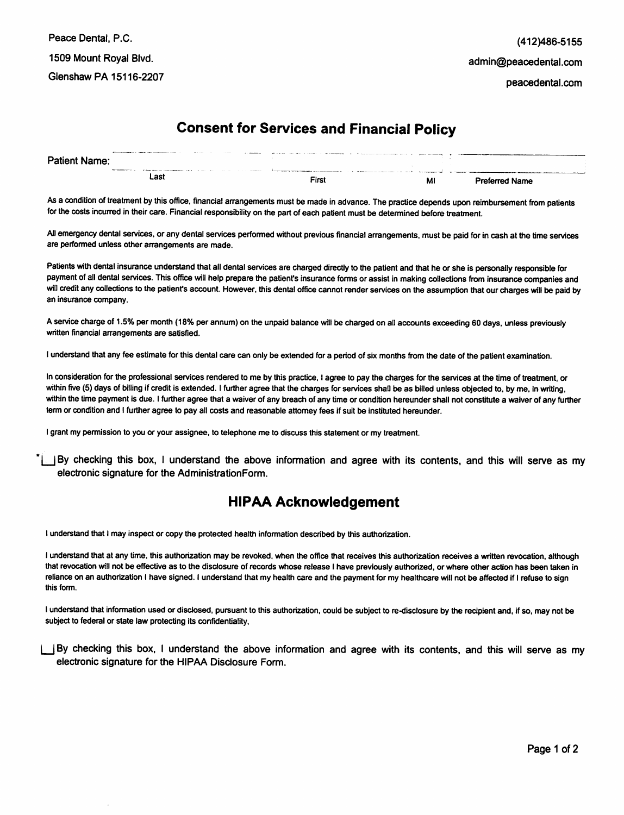## *Consent for Services and Financial Policy*

| <b>Patient Name:</b> |                    | A Providence of the company and continuous company of the company of the company of the company of the company of the company of the company of the company of the company of the company of the company of the company of the | $\sim$ $\sim$ $\sim$ $\sim$ | <b>All dealers</b> of | The contract of the contract of the company's contract and accompany approach of the |   |                       |
|----------------------|--------------------|--------------------------------------------------------------------------------------------------------------------------------------------------------------------------------------------------------------------------------|-----------------------------|-----------------------|--------------------------------------------------------------------------------------|---|-----------------------|
|                      | the company of the | The component of the components and a contract the contract of the contract of the components of the contract of                                                                                                               |                             |                       | A complete service complete and continuous complete and the                          |   |                       |
|                      |                    | ∟ast                                                                                                                                                                                                                           |                             |                       | Fix                                                                                  | M | <b>Preferred Name</b> |

As a condition of treatment by this office, financial arrangements must be made in advance. The practice depends upon reimbursement from patients *for the costsincurred intheircare. Financial responsibility on the part of each patient must be determined beforetreatment.*

All emergency dental services, or any dental services performed without previous financial arrangements, must be paid for in cash at the time services *are performed unless other arrangements are made.*

Patients with dental insurance understand that all dental services are charged directly to the patient and that he or she is personally responsible for payment of all dental services. This office will help prepare the patient's insurance forms or assist in making collections from insurance companies and will credit any collections to the patient's account. However, this dental office cannot render services on the assumption that our charges will be paid by *an insurance company.*

A service charge of 1.5% per month (18% per annum) on the unpaid balance will be charged on all accounts exceeding 60 days, unless previously *written financial arrangements are satisfied.*

I understand that any fee estimate for this dental care can only be extended for a period of six months from the date of the patient examination.

In consideration for the professional services rendered to me by this practice. I agree to pay the charges for the services at the time of treatment, or within five (5) days of billing if credit is extended. I further agree that the charges for services shall be as billed unless objected to, by me, in writing, within the time payment is due. I further agree that a waiver of any breach of any time or condition hereunder shall not constitute a waiver of any further *term or condition and I further agree to pay all costs and reasonable attorney fees if suit be instituted hereunder.* 

*Igrantmy permission to you or your assignee, to telephone me to discuss this statement or my treatment.*

\*|\_JBy checking this box, I understand the above information and agree with its contents, and this will serve as my electronic signature for the AdministrationForm.

## *HIPAA Acknowledgement*

*I understand that I may inspect or copy the protected health information described by this authorization.*

*I understand that at any time, this authorization may be revoked, when the office that receives this authorization receives a written revocation, although* that revocation will not be effective as to the disclosure of records whose release I have previously authorized, or where other action has been taken in *reliance on an authorization I have signed. I understand that my health care and the payment formy healthcare will not be affected if Irefuse to sign this form.*

I understand that information used or disclosed, pursuant to this authorization, could be subject to re-disclosure by the recipient and, if so, may not be *subject to federal or state law protecting its confidentiality,*

jBy checking this box, I understand the above information and agree with its contents, and this will serve as my electronic signature for the HIPAA Disclosure Form.